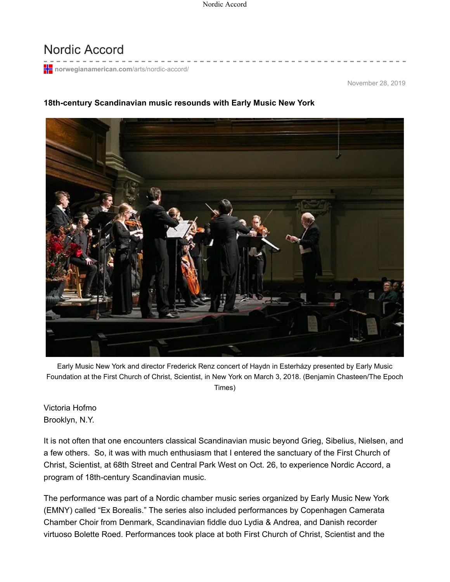## Nordic Accord

**html** norwegianamerican.com/arts/nordic-accord/

November 28, 2019

## **18th-century Scandinavian music resounds with Early Music New York**



Early Music New York and director Frederick Renz concert of Haydn in Esterházy presented by Early Music Foundation at the First Church of Christ, Scientist, in New York on March 3, 2018. (Benjamin Chasteen/The Epoch Times)

Victoria Hofmo Brooklyn, N.Y.

It is not often that one encounters classical Scandinavian music beyond Grieg, Sibelius, Nielsen, and a few others. So, it was with much enthusiasm that I entered the sanctuary of the First Church of Christ, Scientist, at 68th Street and Central Park West on Oct. 26, to experience Nordic Accord, a program of 18th-century Scandinavian music.

The performance was part of a Nordic chamber music series organized by Early Music New York (EMNY) called "Ex Borealis." The series also included performances by Copenhagen Camerata Chamber Choir from Denmark, Scandinavian fiddle duo Lydia & Andrea, and Danish recorder virtuoso Bolette Roed. Performances took place at both First Church of Christ, Scientist and the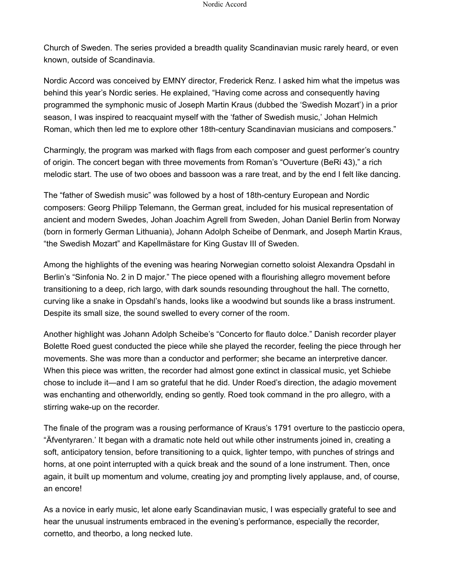Church of Sweden. The series provided a breadth quality Scandinavian music rarely heard, or even known, outside of Scandinavia.

Nordic Accord was conceived by EMNY director, Frederick Renz. I asked him what the impetus was behind this year's Nordic series. He explained, "Having come across and consequently having programmed the symphonic music of Joseph Martin Kraus (dubbed the 'Swedish Mozart') in a prior season, I was inspired to reacquaint myself with the 'father of Swedish music,' Johan Helmich Roman, which then led me to explore other 18th-century Scandinavian musicians and composers."

Charmingly, the program was marked with flags from each composer and guest performer's country of origin. The concert began with three movements from Roman's "Ouverture (BeRi 43)," a rich melodic start. The use of two oboes and bassoon was a rare treat, and by the end I felt like dancing.

The "father of Swedish music" was followed by a host of 18th-century European and Nordic composers: Georg Philipp Telemann, the German great, included for his musical representation of ancient and modern Swedes, Johan Joachim Agrell from Sweden, Johan Daniel Berlin from Norway (born in formerly German Lithuania), Johann Adolph Scheibe of Denmark, and Joseph Martin Kraus, "the Swedish Mozart" and Kapellmästare for King Gustav III of Sweden.

Among the highlights of the evening was hearing Norwegian cornetto soloist Alexandra Opsdahl in Berlin's "Sinfonia No. 2 in D major." The piece opened with a flourishing allegro movement before transitioning to a deep, rich largo, with dark sounds resounding throughout the hall. The cornetto, curving like a snake in Opsdahl's hands, looks like a woodwind but sounds like a brass instrument. Despite its small size, the sound swelled to every corner of the room.

Another highlight was Johann Adolph Scheibe's "Concerto for flauto dolce." Danish recorder player Bolette Roed guest conducted the piece while she played the recorder, feeling the piece through her movements. She was more than a conductor and performer; she became an interpretive dancer. When this piece was written, the recorder had almost gone extinct in classical music, yet Schiebe chose to include it—and I am so grateful that he did. Under Roed's direction, the adagio movement was enchanting and otherworldly, ending so gently. Roed took command in the pro allegro, with a stirring wake-up on the recorder.

The finale of the program was a rousing performance of Kraus's 1791 overture to the pasticcio opera, "Äfventyraren.' It began with a dramatic note held out while other instruments joined in, creating a soft, anticipatory tension, before transitioning to a quick, lighter tempo, with punches of strings and horns, at one point interrupted with a quick break and the sound of a lone instrument. Then, once again, it built up momentum and volume, creating joy and prompting lively applause, and, of course, an encore!

As a novice in early music, let alone early Scandinavian music, I was especially grateful to see and hear the unusual instruments embraced in the evening's performance, especially the recorder, cornetto, and theorbo, a long necked lute.